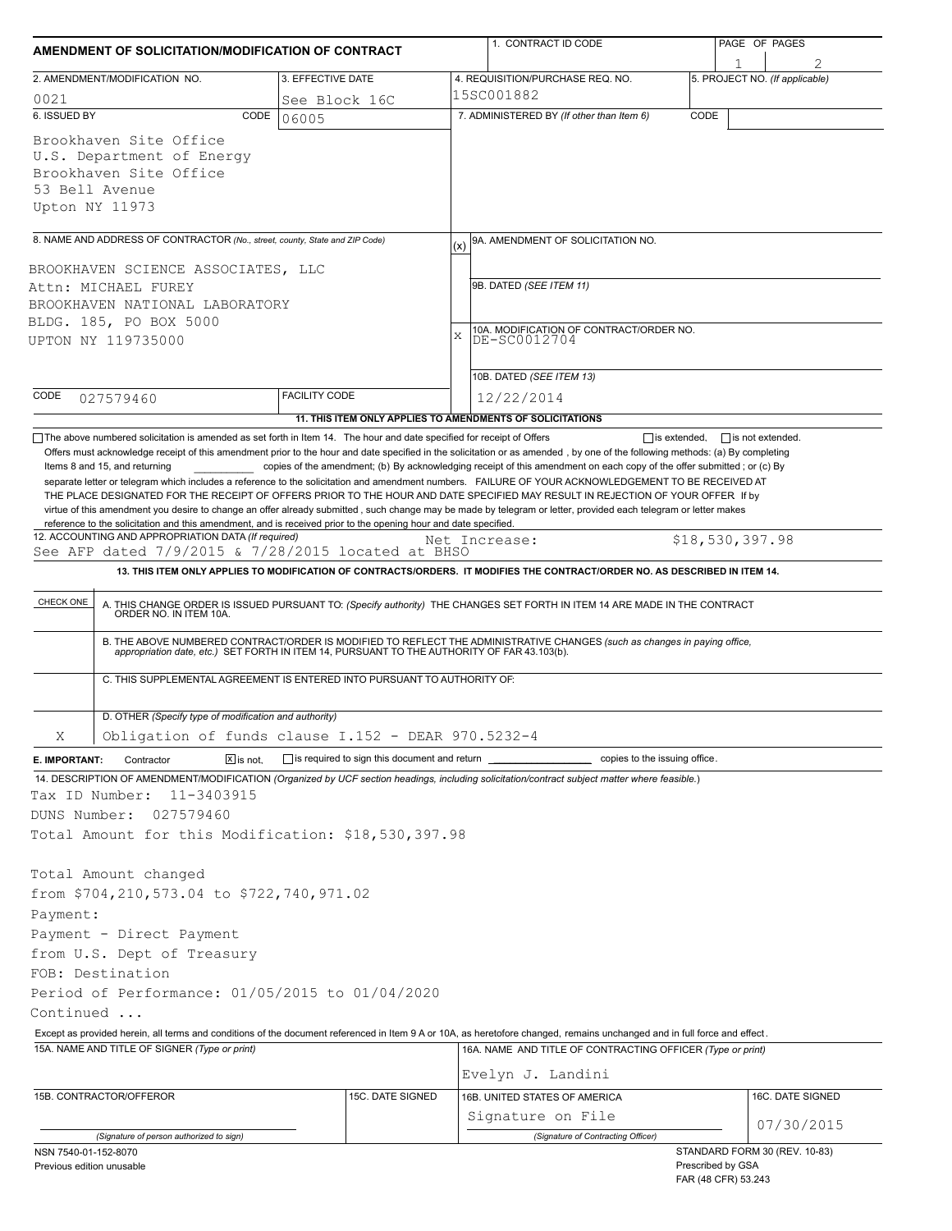| AMENDMENT OF SOLICITATION/MODIFICATION OF CONTRACT                                                                                                                                                      |                             |                                                                          |                                         | 1. CONTRACT ID CODE                                                                                                                                                                                                                                                                                                                                                                                                                                                                                                                                                                                  |      |                                            | PAGE OF PAGES                  |  |  |
|---------------------------------------------------------------------------------------------------------------------------------------------------------------------------------------------------------|-----------------------------|--------------------------------------------------------------------------|-----------------------------------------|------------------------------------------------------------------------------------------------------------------------------------------------------------------------------------------------------------------------------------------------------------------------------------------------------------------------------------------------------------------------------------------------------------------------------------------------------------------------------------------------------------------------------------------------------------------------------------------------------|------|--------------------------------------------|--------------------------------|--|--|
| 2. AMENDMENT/MODIFICATION NO.                                                                                                                                                                           |                             | 3. EFFECTIVE DATE                                                        |                                         | 4. REQUISITION/PURCHASE REQ. NO.                                                                                                                                                                                                                                                                                                                                                                                                                                                                                                                                                                     |      |                                            | 5. PROJECT NO. (If applicable) |  |  |
| 0021                                                                                                                                                                                                    | 15SC001882<br>See Block 16C |                                                                          |                                         |                                                                                                                                                                                                                                                                                                                                                                                                                                                                                                                                                                                                      |      |                                            |                                |  |  |
| 6. ISSUED BY                                                                                                                                                                                            | CODE                        | 06005                                                                    |                                         | 7. ADMINISTERED BY (If other than Item 6)                                                                                                                                                                                                                                                                                                                                                                                                                                                                                                                                                            | CODE |                                            |                                |  |  |
| Brookhaven Site Office<br>U.S. Department of Energy<br>Brookhaven Site Office<br>53 Bell Avenue<br>Upton NY 11973                                                                                       |                             |                                                                          |                                         |                                                                                                                                                                                                                                                                                                                                                                                                                                                                                                                                                                                                      |      |                                            |                                |  |  |
| 8. NAME AND ADDRESS OF CONTRACTOR (No., street, county, State and ZIP Code)                                                                                                                             |                             |                                                                          | (x)                                     | 9A. AMENDMENT OF SOLICITATION NO.                                                                                                                                                                                                                                                                                                                                                                                                                                                                                                                                                                    |      |                                            |                                |  |  |
| BROOKHAVEN SCIENCE ASSOCIATES, LLC                                                                                                                                                                      |                             |                                                                          |                                         |                                                                                                                                                                                                                                                                                                                                                                                                                                                                                                                                                                                                      |      |                                            |                                |  |  |
| Attn: MICHAEL FUREY                                                                                                                                                                                     |                             |                                                                          |                                         | 9B. DATED (SEE ITEM 11)                                                                                                                                                                                                                                                                                                                                                                                                                                                                                                                                                                              |      |                                            |                                |  |  |
| BROOKHAVEN NATIONAL LABORATORY                                                                                                                                                                          |                             |                                                                          |                                         |                                                                                                                                                                                                                                                                                                                                                                                                                                                                                                                                                                                                      |      |                                            |                                |  |  |
| BLDG. 185, PO BOX 5000                                                                                                                                                                                  |                             |                                                                          | 10A. MODIFICATION OF CONTRACT/ORDER NO. |                                                                                                                                                                                                                                                                                                                                                                                                                                                                                                                                                                                                      |      |                                            |                                |  |  |
| UPTON NY 119735000                                                                                                                                                                                      |                             |                                                                          | X                                       | DE-SC0012704                                                                                                                                                                                                                                                                                                                                                                                                                                                                                                                                                                                         |      |                                            |                                |  |  |
|                                                                                                                                                                                                         |                             |                                                                          |                                         | 10B. DATED (SEE ITEM 13)                                                                                                                                                                                                                                                                                                                                                                                                                                                                                                                                                                             |      |                                            |                                |  |  |
| CODE<br>027579460                                                                                                                                                                                       |                             | <b>FACILITY CODE</b>                                                     |                                         | 12/22/2014                                                                                                                                                                                                                                                                                                                                                                                                                                                                                                                                                                                           |      |                                            |                                |  |  |
|                                                                                                                                                                                                         |                             | 11. THIS ITEM ONLY APPLIES TO AMENDMENTS OF SOLICITATIONS                |                                         |                                                                                                                                                                                                                                                                                                                                                                                                                                                                                                                                                                                                      |      |                                            |                                |  |  |
| Items 8 and 15, and returning<br>reference to the solicitation and this amendment, and is received prior to the opening hour and date specified.<br>12. ACCOUNTING AND APPROPRIATION DATA (If required) |                             |                                                                          |                                         | copies of the amendment; (b) By acknowledging receipt of this amendment on each copy of the offer submitted; or (c) By<br>separate letter or telegram which includes a reference to the solicitation and amendment numbers. FAILURE OF YOUR ACKNOWLEDGEMENT TO BE RECEIVED AT<br>THE PLACE DESIGNATED FOR THE RECEIPT OF OFFERS PRIOR TO THE HOUR AND DATE SPECIFIED MAY RESULT IN REJECTION OF YOUR OFFER If by<br>virtue of this amendment you desire to change an offer already submitted, such change may be made by telegram or letter, provided each telegram or letter makes<br>Net Increase: |      | \$18,530,397.98                            |                                |  |  |
| See AFP dated 7/9/2015 & 7/28/2015 located at BHSO                                                                                                                                                      |                             |                                                                          |                                         |                                                                                                                                                                                                                                                                                                                                                                                                                                                                                                                                                                                                      |      |                                            |                                |  |  |
|                                                                                                                                                                                                         |                             |                                                                          |                                         | 13. THIS ITEM ONLY APPLIES TO MODIFICATION OF CONTRACTS/ORDERS. IT MODIFIES THE CONTRACT/ORDER NO. AS DESCRIBED IN ITEM 14.                                                                                                                                                                                                                                                                                                                                                                                                                                                                          |      |                                            |                                |  |  |
| CHECK ONE                                                                                                                                                                                               |                             |                                                                          |                                         | A. THIS CHANGE ORDER IS ISSUED PURSUANT TO: (Specify authority) THE CHANGES SET FORTH IN ITEM 14 ARE MADE IN THE CONTRACT ORDER NO. IN ITEM 10A.                                                                                                                                                                                                                                                                                                                                                                                                                                                     |      |                                            |                                |  |  |
|                                                                                                                                                                                                         |                             |                                                                          |                                         | B. THE ABOVE NUMBERED CONTRACT/ORDER IS MODIFIED TO REFLECT THE ADMINISTRATIVE CHANGES (such as changes in paying office, appropriation date, etc.) SET FORTH IN ITEM 14, PURSUANT TO THE AUTHORITY OF FAR 43.103(b).                                                                                                                                                                                                                                                                                                                                                                                |      |                                            |                                |  |  |
|                                                                                                                                                                                                         |                             | C. THIS SUPPLEMENTAL AGREEMENT IS ENTERED INTO PURSUANT TO AUTHORITY OF: |                                         |                                                                                                                                                                                                                                                                                                                                                                                                                                                                                                                                                                                                      |      |                                            |                                |  |  |
| D. OTHER (Specify type of modification and authority)                                                                                                                                                   |                             |                                                                          |                                         |                                                                                                                                                                                                                                                                                                                                                                                                                                                                                                                                                                                                      |      |                                            |                                |  |  |
| Χ                                                                                                                                                                                                       |                             | Obligation of funds clause $I.152 - DERR 970.5232-4$                     |                                         |                                                                                                                                                                                                                                                                                                                                                                                                                                                                                                                                                                                                      |      |                                            |                                |  |  |
| Contractor<br>E. IMPORTANT:                                                                                                                                                                             | $X$ is not.                 | $\Box$ is required to sign this document and return                      |                                         | copies to the issuing office.                                                                                                                                                                                                                                                                                                                                                                                                                                                                                                                                                                        |      |                                            |                                |  |  |
| 11-3403915<br>Tax ID Number:                                                                                                                                                                            |                             |                                                                          |                                         | 14. DESCRIPTION OF AMENDMENT/MODIFICATION (Organized by UCF section headings, including solicitation/contract subject matter where feasible.)                                                                                                                                                                                                                                                                                                                                                                                                                                                        |      |                                            |                                |  |  |
| DUNS Number:<br>027579460                                                                                                                                                                               |                             |                                                                          |                                         |                                                                                                                                                                                                                                                                                                                                                                                                                                                                                                                                                                                                      |      |                                            |                                |  |  |
| Total Amount for this Modification: \$18,530,397.98                                                                                                                                                     |                             |                                                                          |                                         |                                                                                                                                                                                                                                                                                                                                                                                                                                                                                                                                                                                                      |      |                                            |                                |  |  |
| Total Amount changed<br>from \$704,210,573.04 to \$722,740,971.02<br>Payment:                                                                                                                           |                             |                                                                          |                                         |                                                                                                                                                                                                                                                                                                                                                                                                                                                                                                                                                                                                      |      |                                            |                                |  |  |
| Payment - Direct Payment                                                                                                                                                                                |                             |                                                                          |                                         |                                                                                                                                                                                                                                                                                                                                                                                                                                                                                                                                                                                                      |      |                                            |                                |  |  |
| from U.S. Dept of Treasury                                                                                                                                                                              |                             |                                                                          |                                         |                                                                                                                                                                                                                                                                                                                                                                                                                                                                                                                                                                                                      |      |                                            |                                |  |  |
| FOB: Destination<br>Period of Performance: 01/05/2015 to 01/04/2020                                                                                                                                     |                             |                                                                          |                                         |                                                                                                                                                                                                                                                                                                                                                                                                                                                                                                                                                                                                      |      |                                            |                                |  |  |
| Continued                                                                                                                                                                                               |                             |                                                                          |                                         |                                                                                                                                                                                                                                                                                                                                                                                                                                                                                                                                                                                                      |      |                                            |                                |  |  |
|                                                                                                                                                                                                         |                             |                                                                          |                                         | Except as provided herein, all terms and conditions of the document referenced in Item 9 A or 10A, as heretofore changed, remains unchanged and in full force and effect.                                                                                                                                                                                                                                                                                                                                                                                                                            |      |                                            |                                |  |  |
| 15A. NAME AND TITLE OF SIGNER (Type or print)                                                                                                                                                           |                             |                                                                          |                                         | 16A. NAME AND TITLE OF CONTRACTING OFFICER (Type or print)                                                                                                                                                                                                                                                                                                                                                                                                                                                                                                                                           |      |                                            |                                |  |  |
|                                                                                                                                                                                                         |                             |                                                                          |                                         | Evelyn J. Landini                                                                                                                                                                                                                                                                                                                                                                                                                                                                                                                                                                                    |      |                                            |                                |  |  |
| 15B. CONTRACTOR/OFFEROR                                                                                                                                                                                 |                             | 15C. DATE SIGNED                                                         |                                         | 16B. UNITED STATES OF AMERICA                                                                                                                                                                                                                                                                                                                                                                                                                                                                                                                                                                        |      |                                            | 16C. DATE SIGNED               |  |  |
|                                                                                                                                                                                                         |                             |                                                                          |                                         | Signature on File                                                                                                                                                                                                                                                                                                                                                                                                                                                                                                                                                                                    |      |                                            |                                |  |  |
| (Signature of person authorized to sign)                                                                                                                                                                |                             |                                                                          |                                         | (Signature of Contracting Officer)                                                                                                                                                                                                                                                                                                                                                                                                                                                                                                                                                                   |      |                                            | 07/30/2015                     |  |  |
| NSN 7540-01-152-8070<br>Previous edition unusable                                                                                                                                                       |                             |                                                                          |                                         |                                                                                                                                                                                                                                                                                                                                                                                                                                                                                                                                                                                                      |      | Prescribed by GSA<br>$FAD$ (AR CED) 53 243 | STANDARD FORM 30 (REV. 10-83)  |  |  |